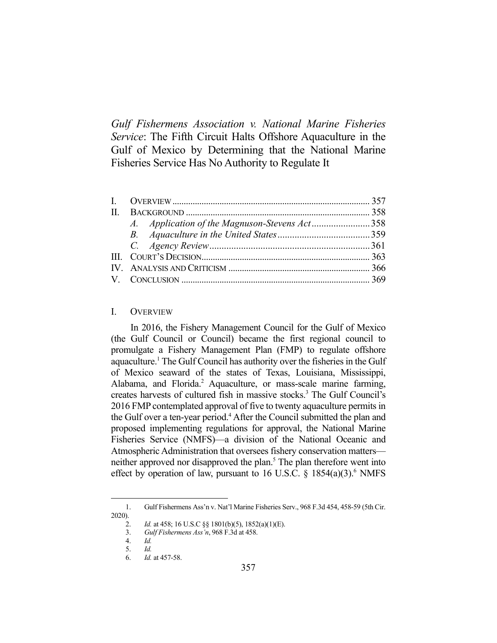*Gulf Fishermens Association v. National Marine Fisheries Service*: The Fifth Circuit Halts Offshore Aquaculture in the Gulf of Mexico by Determining that the National Marine Fisheries Service Has No Authority to Regulate It

|  | A. Application of the Magnuson-Stevens Act358 |  |
|--|-----------------------------------------------|--|
|  |                                               |  |
|  |                                               |  |
|  |                                               |  |
|  |                                               |  |
|  |                                               |  |

#### I. OVERVIEW

 In 2016, the Fishery Management Council for the Gulf of Mexico (the Gulf Council or Council) became the first regional council to promulgate a Fishery Management Plan (FMP) to regulate offshore aquaculture.<sup>1</sup> The Gulf Council has authority over the fisheries in the Gulf of Mexico seaward of the states of Texas, Louisiana, Mississippi, Alabama, and Florida.<sup>2</sup> Aquaculture, or mass-scale marine farming, creates harvests of cultured fish in massive stocks.<sup>3</sup> The Gulf Council's 2016 FMP contemplated approval of five to twenty aquaculture permits in the Gulf over a ten-year period.<sup>4</sup> After the Council submitted the plan and proposed implementing regulations for approval, the National Marine Fisheries Service (NMFS)—a division of the National Oceanic and Atmospheric Administration that oversees fishery conservation matters neither approved nor disapproved the plan.<sup>5</sup> The plan therefore went into effect by operation of law, pursuant to 16 U.S.C.  $\S$  1854(a)(3).<sup>6</sup> NMFS

2020).

 <sup>1.</sup> Gulf Fishermens Ass'n v. Nat'l Marine Fisheries Serv., 968 F.3d 454, 458-59 (5th Cir.

 <sup>2.</sup> *Id.* at 458; 16 U.S.C §§ 1801(b)(5), 1852(a)(1)(E).

 <sup>3.</sup> *Gulf Fishermens Ass'n*, 968 F.3d at 458.

 <sup>4.</sup> *Id.*

 <sup>5.</sup> *Id.*

 <sup>6.</sup> *Id.* at 457-58.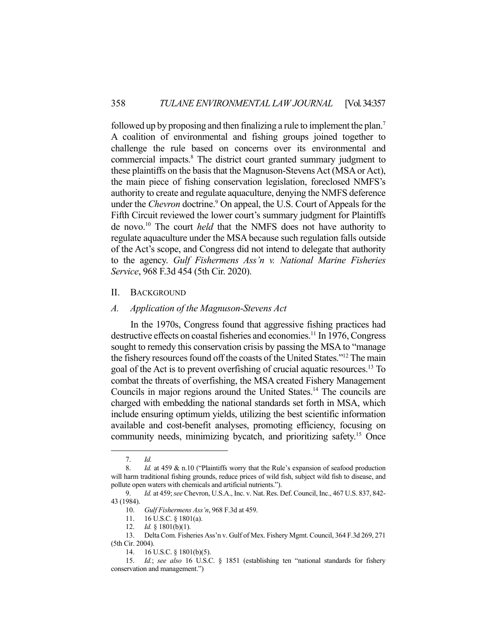followed up by proposing and then finalizing a rule to implement the plan.<sup>7</sup> A coalition of environmental and fishing groups joined together to challenge the rule based on concerns over its environmental and commercial impacts.<sup>8</sup> The district court granted summary judgment to these plaintiffs on the basis that the Magnuson-Stevens Act (MSA or Act), the main piece of fishing conservation legislation, foreclosed NMFS's authority to create and regulate aquaculture, denying the NMFS deference under the *Chevron* doctrine.<sup>9</sup> On appeal, the U.S. Court of Appeals for the Fifth Circuit reviewed the lower court's summary judgment for Plaintiffs de novo.10 The court *held* that the NMFS does not have authority to regulate aquaculture under the MSA because such regulation falls outside of the Act's scope, and Congress did not intend to delegate that authority to the agency. *Gulf Fishermens Ass'n v. National Marine Fisheries Service*, 968 F.3d 454 (5th Cir. 2020).

#### II. BACKGROUND

### *A. Application of the Magnuson-Stevens Act*

 In the 1970s, Congress found that aggressive fishing practices had destructive effects on coastal fisheries and economies.<sup>11</sup> In 1976, Congress sought to remedy this conservation crisis by passing the MSA to "manage the fishery resources found off the coasts of the United States."12 The main goal of the Act is to prevent overfishing of crucial aquatic resources.13 To combat the threats of overfishing, the MSA created Fishery Management Councils in major regions around the United States.14 The councils are charged with embedding the national standards set forth in MSA, which include ensuring optimum yields, utilizing the best scientific information available and cost-benefit analyses, promoting efficiency, focusing on community needs, minimizing bycatch, and prioritizing safety.<sup>15</sup> Once

 <sup>7.</sup> *Id.*

<sup>8.</sup> *Id.* at 459 & n.10 ("Plaintiffs worry that the Rule's expansion of seafood production will harm traditional fishing grounds, reduce prices of wild fish, subject wild fish to disease, and pollute open waters with chemicals and artificial nutrients.").

 <sup>9.</sup> *Id.* at 459; *see* Chevron, U.S.A., Inc. v. Nat. Res. Def. Council, Inc., 467 U.S. 837, 842- 43 (1984).

 <sup>10.</sup> *Gulf Fishermens Ass'n*, 968 F.3d at 459.

 <sup>11. 16</sup> U.S.C. § 1801(a).

 <sup>12.</sup> *Id.* § 1801(b)(1).

 <sup>13.</sup> Delta Com. Fisheries Ass'n v. Gulf of Mex. Fishery Mgmt. Council, 364 F.3d 269, 271 (5th Cir. 2004).

 <sup>14. 16</sup> U.S.C. § 1801(b)(5).

 <sup>15.</sup> *Id.*; *see also* 16 U.S.C. § 1851 (establishing ten "national standards for fishery conservation and management.")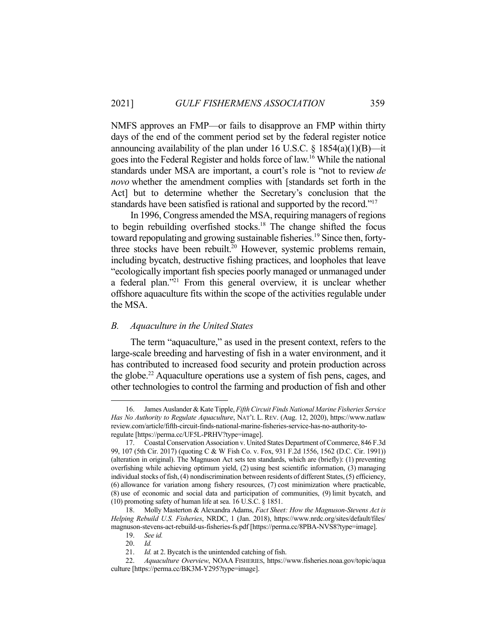NMFS approves an FMP—or fails to disapprove an FMP within thirty days of the end of the comment period set by the federal register notice announcing availability of the plan under 16 U.S.C.  $\S$  1854(a)(1)(B)—it goes into the Federal Register and holds force of law.16 While the national standards under MSA are important, a court's role is "not to review *de novo* whether the amendment complies with [standards set forth in the Act] but to determine whether the Secretary's conclusion that the standards have been satisfied is rational and supported by the record."<sup>17</sup>

 In 1996, Congress amended the MSA, requiring managers of regions to begin rebuilding overfished stocks.<sup>18</sup> The change shifted the focus toward repopulating and growing sustainable fisheries.<sup>19</sup> Since then, fortythree stocks have been rebuilt.<sup>20</sup> However, systemic problems remain, including bycatch, destructive fishing practices, and loopholes that leave "ecologically important fish species poorly managed or unmanaged under a federal plan."21 From this general overview, it is unclear whether offshore aquaculture fits within the scope of the activities regulable under the MSA.

# *B. Aquaculture in the United States*

 The term "aquaculture," as used in the present context, refers to the large-scale breeding and harvesting of fish in a water environment, and it has contributed to increased food security and protein production across the globe.22 Aquaculture operations use a system of fish pens, cages, and other technologies to control the farming and production of fish and other

 <sup>16.</sup> James Auslander & Kate Tipple, *Fifth Circuit Finds National Marine Fisheries Service Has No Authority to Regulate Aquaculture*, NAT'L L. REV. (Aug. 12, 2020), https://www.natlaw review.com/article/fifth-circuit-finds-national-marine-fisheries-service-has-no-authority-toregulate [https://perma.cc/UF5L-PRHV?type=image].

 <sup>17.</sup> Coastal Conservation Association v. United States Department of Commerce, 846 F.3d 99, 107 (5th Cir. 2017) (quoting C & W Fish Co. v. Fox, 931 F.2d 1556, 1562 (D.C. Cir. 1991)) (alteration in original). The Magnuson Act sets ten standards, which are (briefly): (1) preventing overfishing while achieving optimum yield, (2) using best scientific information, (3) managing individual stocks of fish, (4) nondiscrimination between residents of different States, (5) efficiency, (6) allowance for variation among fishery resources, (7) cost minimization where practicable, (8) use of economic and social data and participation of communities, (9) limit bycatch, and (10) promoting safety of human life at sea. 16 U.S.C. § 1851.

 <sup>18.</sup> Molly Masterton & Alexandra Adams, *Fact Sheet: How the Magnuson-Stevens Act is Helping Rebuild U.S. Fisheries*, NRDC, 1 (Jan. 2018), https://www.nrdc.org/sites/default/files/ magnuson-stevens-act-rebuild-us-fisheries-fs.pdf [https://perma.cc/8PBA-NVS8?type=image].

 <sup>19.</sup> *See id.* 

 <sup>20.</sup> *Id.* 

 <sup>21.</sup> *Id.* at 2. Bycatch is the unintended catching of fish.

 <sup>22.</sup> *Aquaculture Overview*, NOAA FISHERIES, https://www.fisheries.noaa.gov/topic/aqua culture [https://perma.cc/BK3M-Y295?type=image].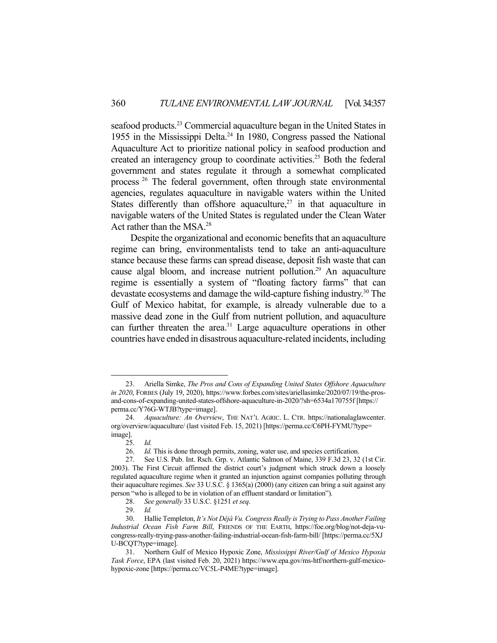seafood products.<sup>23</sup> Commercial aquaculture began in the United States in 1955 in the Mississippi Delta. $^{24}$  In 1980, Congress passed the National Aquaculture Act to prioritize national policy in seafood production and created an interagency group to coordinate activities.<sup>25</sup> Both the federal government and states regulate it through a somewhat complicated process<sup>26</sup> The federal government, often through state environmental agencies, regulates aquaculture in navigable waters within the United States differently than offshore aquaculture,<sup>27</sup> in that aquaculture in navigable waters of the United States is regulated under the Clean Water Act rather than the MSA.28

 Despite the organizational and economic benefits that an aquaculture regime can bring, environmentalists tend to take an anti-aquaculture stance because these farms can spread disease, deposit fish waste that can cause algal bloom, and increase nutrient pollution.<sup>29</sup> An aquaculture regime is essentially a system of "floating factory farms" that can devastate ecosystems and damage the wild-capture fishing industry.<sup>30</sup> The Gulf of Mexico habitat, for example, is already vulnerable due to a massive dead zone in the Gulf from nutrient pollution, and aquaculture can further threaten the area.<sup>31</sup> Large aquaculture operations in other countries have ended in disastrous aquaculture-related incidents, including

 <sup>23.</sup> Ariella Simke, *The Pros and Cons of Expanding United States Offshore Aquaculture in 2020*, FORBES (July 19, 2020), https://www.forbes.com/sites/ariellasimke/2020/07/19/the-prosand-cons-of-expanding-united-states-offshore-aquaculture-in-2020/?sh=6534a170755f [https:// perma.cc/Y76G-WTJB?type=image].

 <sup>24.</sup> *Aquaculture: An Overview*, THE NAT'L AGRIC. L. CTR. https://nationalaglawcenter. org/overview/aquaculture/ (last visited Feb. 15, 2021) [https://perma.cc/C6PH-FYMU?type= image].

 <sup>25.</sup> *Id.* 

 <sup>26.</sup> *Id.* This is done through permits, zoning, water use, and species certification.

 <sup>27.</sup> See U.S. Pub. Int. Rsch. Grp. v. Atlantic Salmon of Maine, 339 F.3d 23, 32 (1st Cir. 2003). The First Circuit affirmed the district court's judgment which struck down a loosely regulated aquaculture regime when it granted an injunction against companies polluting through their aquaculture regimes. *See* 33 U.S.C. § 1365(a) (2000) (any citizen can bring a suit against any person "who is alleged to be in violation of an effluent standard or limitation").

 <sup>28.</sup> *See generally* 33 U.S.C. §1251 *et seq*.

 <sup>29.</sup> *Id.*

 <sup>30.</sup> Hallie Templeton, *It's Not Déjà Vu. Congress Really is Trying to Pass Another Failing Industrial Ocean Fish Farm Bill*, FRIENDS OF THE EARTH, https://foe.org/blog/not-deja-vucongress-really-trying-pass-another-failing-industrial-ocean-fish-farm-bill/ [https://perma.cc/5XJ U-BCQT?type=image].

 <sup>31.</sup> Northern Gulf of Mexico Hypoxic Zone, *Mississippi River/Gulf of Mexico Hypoxia Task Force*, EPA (last visited Feb. 20, 2021) https://www.epa.gov/ms-htf/northern-gulf-mexicohypoxic-zone [https://perma.cc/VC5L-P4ME?type=image].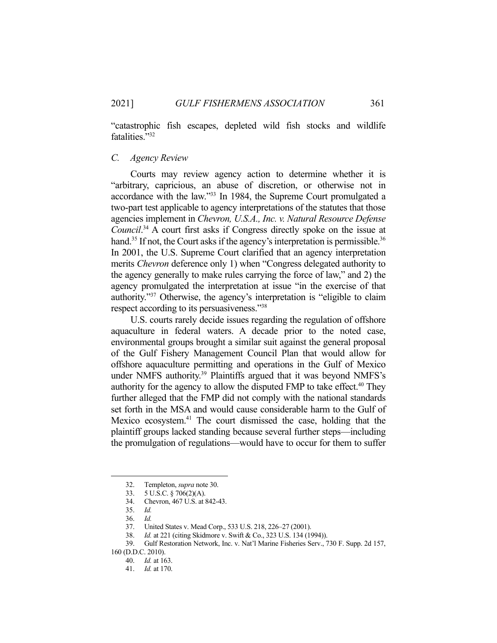"catastrophic fish escapes, depleted wild fish stocks and wildlife fatalities."32

### *C. Agency Review*

 Courts may review agency action to determine whether it is "arbitrary, capricious, an abuse of discretion, or otherwise not in accordance with the law."33 In 1984, the Supreme Court promulgated a two-part test applicable to agency interpretations of the statutes that those agencies implement in *Chevron, U.S.A., Inc. v. Natural Resource Defense Council*. 34 A court first asks if Congress directly spoke on the issue at hand.<sup>35</sup> If not, the Court asks if the agency's interpretation is permissible.<sup>36</sup> In 2001, the U.S. Supreme Court clarified that an agency interpretation merits *Chevron* deference only 1) when "Congress delegated authority to the agency generally to make rules carrying the force of law," and 2) the agency promulgated the interpretation at issue "in the exercise of that authority."37 Otherwise, the agency's interpretation is "eligible to claim respect according to its persuasiveness."38

 U.S. courts rarely decide issues regarding the regulation of offshore aquaculture in federal waters. A decade prior to the noted case, environmental groups brought a similar suit against the general proposal of the Gulf Fishery Management Council Plan that would allow for offshore aquaculture permitting and operations in the Gulf of Mexico under NMFS authority.<sup>39</sup> Plaintiffs argued that it was beyond NMFS's authority for the agency to allow the disputed FMP to take effect.<sup>40</sup> They further alleged that the FMP did not comply with the national standards set forth in the MSA and would cause considerable harm to the Gulf of Mexico ecosystem.<sup>41</sup> The court dismissed the case, holding that the plaintiff groups lacked standing because several further steps—including the promulgation of regulations—would have to occur for them to suffer

 <sup>32.</sup> Templeton, *supra* note 30.

 <sup>33. 5</sup> U.S.C. § 706(2)(A).

 <sup>34.</sup> Chevron, 467 U.S. at 842-43.

 <sup>35.</sup> *Id.* 

 <sup>36.</sup> *Id.*

<sup>37.</sup> United States v. Mead Corp., 533 U.S. 218, 226–27 (2001).<br>38. Id. at 221 (citing Skidmore v. Swift & Co., 323 U.S. 134 (19)

*Id.* at 221 (citing Skidmore v. Swift & Co., 323 U.S. 134 (1994)).

 <sup>39.</sup> Gulf Restoration Network, Inc. v. Nat'l Marine Fisheries Serv., 730 F. Supp. 2d 157,

<sup>160 (</sup>D.D.C. 2010).

 <sup>40.</sup> *Id.* at 163.

 <sup>41.</sup> *Id.* at 170.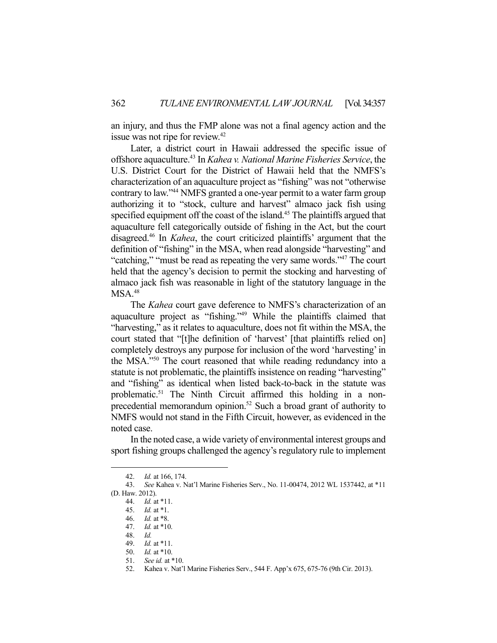an injury, and thus the FMP alone was not a final agency action and the issue was not ripe for review.<sup>42</sup>

 Later, a district court in Hawaii addressed the specific issue of offshore aquaculture.43 In *Kahea v. National Marine Fisheries Service*, the U.S. District Court for the District of Hawaii held that the NMFS's characterization of an aquaculture project as "fishing" was not "otherwise contrary to law."44 NMFS granted a one-year permit to a water farm group authorizing it to "stock, culture and harvest" almaco jack fish using specified equipment off the coast of the island.<sup>45</sup> The plaintiffs argued that aquaculture fell categorically outside of fishing in the Act, but the court disagreed.46 In *Kahea*, the court criticized plaintiffs' argument that the definition of "fishing" in the MSA, when read alongside "harvesting" and "catching," "must be read as repeating the very same words."<sup>47</sup> The court held that the agency's decision to permit the stocking and harvesting of almaco jack fish was reasonable in light of the statutory language in the  $MSA.<sup>48</sup>$ 

 The *Kahea* court gave deference to NMFS's characterization of an aquaculture project as "fishing."49 While the plaintiffs claimed that "harvesting," as it relates to aquaculture, does not fit within the MSA, the court stated that "[t]he definition of 'harvest' [that plaintiffs relied on] completely destroys any purpose for inclusion of the word 'harvesting' in the MSA."50 The court reasoned that while reading redundancy into a statute is not problematic, the plaintiffs insistence on reading "harvesting" and "fishing" as identical when listed back-to-back in the statute was problematic.<sup>51</sup> The Ninth Circuit affirmed this holding in a nonprecedential memorandum opinion.<sup>52</sup> Such a broad grant of authority to NMFS would not stand in the Fifth Circuit, however, as evidenced in the noted case.

 In the noted case, a wide variety of environmental interest groups and sport fishing groups challenged the agency's regulatory rule to implement

 <sup>42.</sup> *Id.* at 166, 174.

 <sup>43.</sup> *See* Kahea v. Nat'l Marine Fisheries Serv., No. 11-00474, 2012 WL 1537442, at \*11 (D. Haw. 2012).

 <sup>44.</sup> *Id.* at \*11.

 <sup>45.</sup> *Id.* at \*1.

 <sup>46.</sup> *Id.* at \*8.

 <sup>47.</sup> *Id.* at \*10.

 <sup>48.</sup> *Id.*

 <sup>49.</sup> *Id.* at \*11.

 <sup>50.</sup> *Id.* at \*10.

 <sup>51.</sup> *See id.* at \*10.

 <sup>52.</sup> Kahea v. Nat'l Marine Fisheries Serv., 544 F. App'x 675, 675-76 (9th Cir. 2013).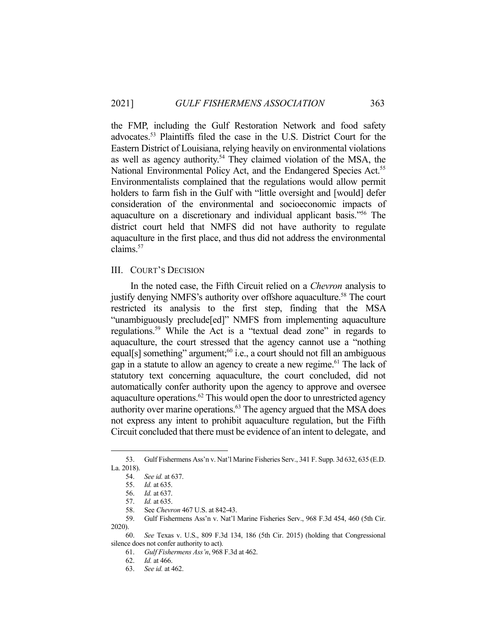the FMP, including the Gulf Restoration Network and food safety advocates.53 Plaintiffs filed the case in the U.S. District Court for the Eastern District of Louisiana, relying heavily on environmental violations as well as agency authority.<sup>54</sup> They claimed violation of the MSA, the National Environmental Policy Act, and the Endangered Species Act.<sup>55</sup> Environmentalists complained that the regulations would allow permit holders to farm fish in the Gulf with "little oversight and [would] defer consideration of the environmental and socioeconomic impacts of aquaculture on a discretionary and individual applicant basis."56 The district court held that NMFS did not have authority to regulate aquaculture in the first place, and thus did not address the environmental claims.57

#### III. COURT'S DECISION

 In the noted case, the Fifth Circuit relied on a *Chevron* analysis to justify denying NMFS's authority over offshore aquaculture.<sup>58</sup> The court restricted its analysis to the first step, finding that the MSA "unambiguously preclude[ed]" NMFS from implementing aquaculture regulations.59 While the Act is a "textual dead zone" in regards to aquaculture, the court stressed that the agency cannot use a "nothing equal[s] something" argument;<sup>60</sup> i.e., a court should not fill an ambiguous gap in a statute to allow an agency to create a new regime.<sup>61</sup> The lack of statutory text concerning aquaculture, the court concluded, did not automatically confer authority upon the agency to approve and oversee aquaculture operations.<sup> $62$ </sup> This would open the door to unrestricted agency authority over marine operations.63 The agency argued that the MSA does not express any intent to prohibit aquaculture regulation, but the Fifth Circuit concluded that there must be evidence of an intent to delegate, and

 <sup>53.</sup> Gulf Fishermens Ass'n v. Nat'l Marine Fisheries Serv., 341 F. Supp. 3d 632, 635 (E.D. La. 2018).

 <sup>54.</sup> *See id.* at 637.

 <sup>55.</sup> *Id.* at 635.

 <sup>56.</sup> *Id.* at 637.

 <sup>57.</sup> *Id.* at 635.

 <sup>58.</sup> See *Chevron* 467 U.S. at 842-43.

 <sup>59.</sup> Gulf Fishermens Ass'n v. Nat'l Marine Fisheries Serv., 968 F.3d 454, 460 (5th Cir. 2020).

 <sup>60.</sup> *See* Texas v. U.S., 809 F.3d 134, 186 (5th Cir. 2015) (holding that Congressional silence does not confer authority to act).

 <sup>61.</sup> *Gulf Fishermens Ass'n*, 968 F.3d at 462.

 <sup>62.</sup> *Id.* at 466.

 <sup>63.</sup> *See id.* at 462.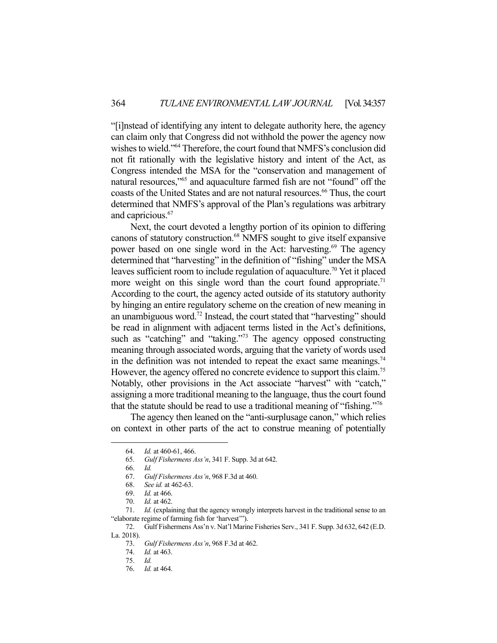"[i]nstead of identifying any intent to delegate authority here, the agency can claim only that Congress did not withhold the power the agency now wishes to wield."64 Therefore, the court found that NMFS's conclusion did not fit rationally with the legislative history and intent of the Act, as Congress intended the MSA for the "conservation and management of natural resources,"<sup>65</sup> and aquaculture farmed fish are not "found" off the coasts of the United States and are not natural resources.<sup>66</sup> Thus, the court determined that NMFS's approval of the Plan's regulations was arbitrary and capricious.<sup>67</sup>

 Next, the court devoted a lengthy portion of its opinion to differing canons of statutory construction.<sup>68</sup> NMFS sought to give itself expansive power based on one single word in the Act: harvesting.<sup>69</sup> The agency determined that "harvesting" in the definition of "fishing" under the MSA leaves sufficient room to include regulation of aquaculture.<sup>70</sup> Yet it placed more weight on this single word than the court found appropriate.<sup>71</sup> According to the court, the agency acted outside of its statutory authority by hinging an entire regulatory scheme on the creation of new meaning in an unambiguous word.72 Instead, the court stated that "harvesting" should be read in alignment with adjacent terms listed in the Act's definitions, such as "catching" and "taking."<sup>73</sup> The agency opposed constructing meaning through associated words, arguing that the variety of words used in the definition was not intended to repeat the exact same meanings.<sup>74</sup> However, the agency offered no concrete evidence to support this claim.<sup>75</sup> Notably, other provisions in the Act associate "harvest" with "catch," assigning a more traditional meaning to the language, thus the court found that the statute should be read to use a traditional meaning of "fishing."76

 The agency then leaned on the "anti-surplusage canon," which relies on context in other parts of the act to construe meaning of potentially

 72. Gulf Fishermens Ass'n v. Nat'l Marine Fisheries Serv., 341 F. Supp. 3d 632, 642 (E.D. La. 2018).

 <sup>64.</sup> *Id.* at 460-61, 466.

 <sup>65.</sup> *Gulf Fishermens Ass'n*, 341 F. Supp. 3d at 642.

 <sup>66.</sup> *Id.*

 <sup>67.</sup> *Gulf Fishermens Ass'n*, 968 F.3d at 460.

 <sup>68.</sup> *See id.* at 462-63.

 <sup>69.</sup> *Id.* at 466.

 <sup>70.</sup> *Id.* at 462.

 <sup>71.</sup> *Id.* (explaining that the agency wrongly interprets harvest in the traditional sense to an "elaborate regime of farming fish for 'harvest'").

 <sup>73.</sup> *Gulf Fishermens Ass'n*, 968 F.3d at 462.

 <sup>74.</sup> *Id.* at 463.

 <sup>75.</sup> *Id.*

 <sup>76.</sup> *Id.* at 464.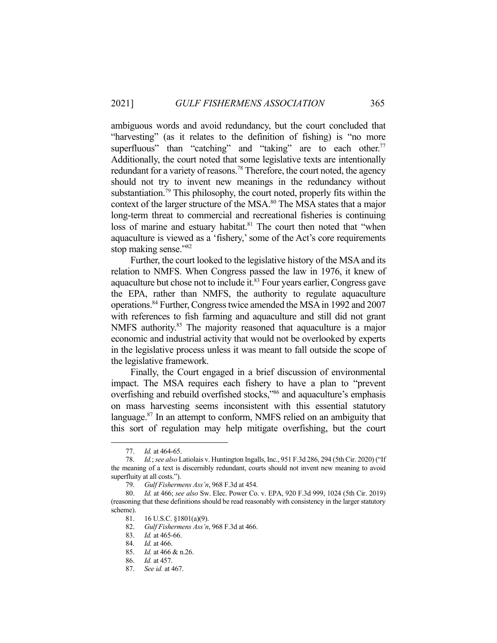ambiguous words and avoid redundancy, but the court concluded that "harvesting" (as it relates to the definition of fishing) is "no more superfluous" than "catching" and "taking" are to each other.<sup>77</sup> Additionally, the court noted that some legislative texts are intentionally redundant for a variety of reasons.<sup>78</sup> Therefore, the court noted, the agency should not try to invent new meanings in the redundancy without substantiation.<sup>79</sup> This philosophy, the court noted, properly fits within the context of the larger structure of the MSA.<sup>80</sup> The MSA states that a major long-term threat to commercial and recreational fisheries is continuing loss of marine and estuary habitat.<sup>81</sup> The court then noted that "when aquaculture is viewed as a 'fishery,' some of the Act's core requirements stop making sense."<sup>82</sup>

 Further, the court looked to the legislative history of the MSA and its relation to NMFS. When Congress passed the law in 1976, it knew of aquaculture but chose not to include it.<sup>83</sup> Four years earlier, Congress gave the EPA, rather than NMFS, the authority to regulate aquaculture operations.84 Further, Congress twice amended the MSA in 1992 and 2007 with references to fish farming and aquaculture and still did not grant NMFS authority.<sup>85</sup> The majority reasoned that aquaculture is a major economic and industrial activity that would not be overlooked by experts in the legislative process unless it was meant to fall outside the scope of the legislative framework.

 Finally, the Court engaged in a brief discussion of environmental impact. The MSA requires each fishery to have a plan to "prevent overfishing and rebuild overfished stocks,"86 and aquaculture's emphasis on mass harvesting seems inconsistent with this essential statutory language.<sup>87</sup> In an attempt to conform, NMFS relied on an ambiguity that this sort of regulation may help mitigate overfishing, but the court

 <sup>77.</sup> *Id.* at 464-65.

 <sup>78.</sup> *Id.*; *see also* Latiolais v. Huntington Ingalls, Inc., 951 F.3d 286, 294 (5th Cir. 2020) ("If the meaning of a text is discernibly redundant, courts should not invent new meaning to avoid superfluity at all costs.").

 <sup>79.</sup> *Gulf Fishermens Ass'n*, 968 F.3d at 454.

 <sup>80.</sup> *Id.* at 466; *see also* Sw. Elec. Power Co. v. EPA, 920 F.3d 999, 1024 (5th Cir. 2019) (reasoning that these definitions should be read reasonably with consistency in the larger statutory scheme).

 <sup>81. 16</sup> U.S.C. §1801(a)(9).

 <sup>82.</sup> *Gulf Fishermens Ass'n*, 968 F.3d at 466.

 <sup>83.</sup> *Id.* at 465-66.

 <sup>84.</sup> *Id.* at 466.

 <sup>85.</sup> *Id.* at 466 & n.26.

 <sup>86.</sup> *Id.* at 457.

 <sup>87.</sup> *See id.* at 467.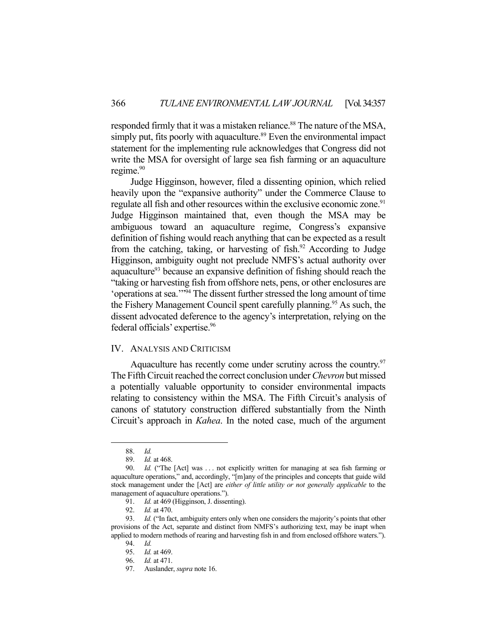responded firmly that it was a mistaken reliance.<sup>88</sup> The nature of the MSA, simply put, fits poorly with aquaculture.<sup>89</sup> Even the environmental impact statement for the implementing rule acknowledges that Congress did not write the MSA for oversight of large sea fish farming or an aquaculture regime.<sup>90</sup>

 Judge Higginson, however, filed a dissenting opinion, which relied heavily upon the "expansive authority" under the Commerce Clause to regulate all fish and other resources within the exclusive economic zone.<sup>91</sup> Judge Higginson maintained that, even though the MSA may be ambiguous toward an aquaculture regime, Congress's expansive definition of fishing would reach anything that can be expected as a result from the catching, taking, or harvesting of fish.<sup>92</sup> According to Judge Higginson, ambiguity ought not preclude NMFS's actual authority over aquaculture<sup>93</sup> because an expansive definition of fishing should reach the "taking or harvesting fish from offshore nets, pens, or other enclosures are 'operations at sea.'"94 The dissent further stressed the long amount of time the Fishery Management Council spent carefully planning.<sup>95</sup> As such, the dissent advocated deference to the agency's interpretation, relying on the federal officials' expertise.<sup>96</sup>

## IV. ANALYSIS AND CRITICISM

Aquaculture has recently come under scrutiny across the country.<sup>97</sup> The Fifth Circuit reached the correct conclusion under *Chevron* but missed a potentially valuable opportunity to consider environmental impacts relating to consistency within the MSA. The Fifth Circuit's analysis of canons of statutory construction differed substantially from the Ninth Circuit's approach in *Kahea*. In the noted case, much of the argument

 <sup>88.</sup> *Id.*

 <sup>89.</sup> *Id.* at 468.

Id. ("The [Act] was ... not explicitly written for managing at sea fish farming or aquaculture operations," and, accordingly, "[m]any of the principles and concepts that guide wild stock management under the [Act] are *either of little utility or not generally applicable* to the management of aquaculture operations.").

 <sup>91.</sup> *Id.* at 469 (Higginson, J. dissenting).

 <sup>92.</sup> *Id.* at 470.

<sup>93.</sup> *Id.* ("In fact, ambiguity enters only when one considers the majority's points that other provisions of the Act, separate and distinct from NMFS's authorizing text, may be inapt when applied to modern methods of rearing and harvesting fish in and from enclosed offshore waters.").

 <sup>94.</sup> *Id.* 

 <sup>95.</sup> *Id.* at 469.

 <sup>96.</sup> *Id.* at 471.

 <sup>97.</sup> Auslander, *supra* note 16.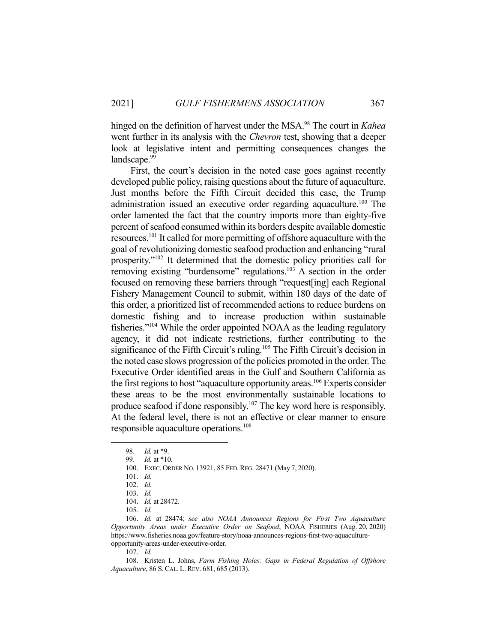hinged on the definition of harvest under the MSA.<sup>98</sup> The court in *Kahea* went further in its analysis with the *Chevron* test, showing that a deeper look at legislative intent and permitting consequences changes the landscape.<sup>99</sup>

 First, the court's decision in the noted case goes against recently developed public policy, raising questions about the future of aquaculture. Just months before the Fifth Circuit decided this case, the Trump administration issued an executive order regarding aquaculture.<sup>100</sup> The order lamented the fact that the country imports more than eighty-five percent of seafood consumed within its borders despite available domestic resources.101 It called for more permitting of offshore aquaculture with the goal of revolutionizing domestic seafood production and enhancing "rural prosperity."102 It determined that the domestic policy priorities call for removing existing "burdensome" regulations.<sup>103</sup> A section in the order focused on removing these barriers through "request[ing] each Regional Fishery Management Council to submit, within 180 days of the date of this order, a prioritized list of recommended actions to reduce burdens on domestic fishing and to increase production within sustainable fisheries."104 While the order appointed NOAA as the leading regulatory agency, it did not indicate restrictions, further contributing to the significance of the Fifth Circuit's ruling.<sup>105</sup> The Fifth Circuit's decision in the noted case slows progression of the policies promoted in the order. The Executive Order identified areas in the Gulf and Southern California as the first regions to host "aquaculture opportunity areas.<sup>106</sup> Experts consider these areas to be the most environmentally sustainable locations to produce seafood if done responsibly.<sup>107</sup> The key word here is responsibly. At the federal level, there is not an effective or clear manner to ensure responsible aquaculture operations.<sup>108</sup>

 106. *Id.* at 28474; *see also NOAA Announces Regions for First Two Aquaculture Opportunity Areas under Executive Order on Seafood*, NOAA FISHERIES (Aug. 20, 2020) https://www.fisheries.noaa.gov/feature-story/noaa-announces-regions-first-two-aquacultureopportunity-areas-under-executive-order.

107. *Id.* 

 108. Kristen L. Johns, *Farm Fishing Holes: Gaps in Federal Regulation of Offshore Aquaculture*, 86 S.CAL. L. REV. 681, 685 (2013).

 <sup>98.</sup> *Id.* at \*9.

 <sup>99.</sup> *Id.* at \*10.

 <sup>100.</sup> EXEC. ORDER NO. 13921, 85 FED.REG. 28471 (May 7, 2020).

 <sup>101.</sup> *Id.*

 <sup>102.</sup> *Id.*

 <sup>103.</sup> *Id.*

 <sup>104.</sup> *Id.* at 28472.

 <sup>105.</sup> *Id.*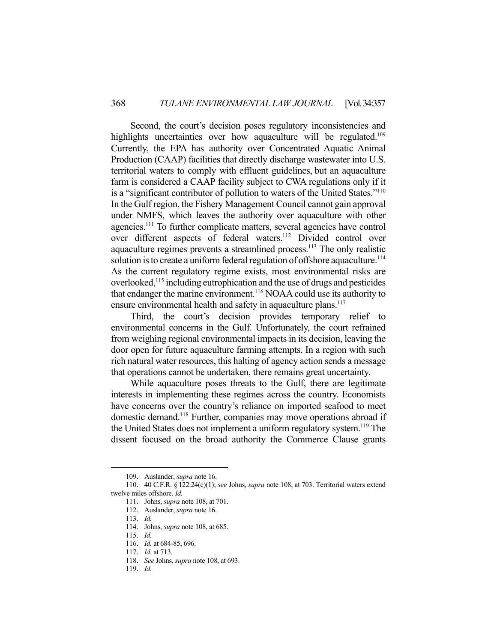Second, the court's decision poses regulatory inconsistencies and highlights uncertainties over how aquaculture will be regulated.<sup>109</sup> Currently, the EPA has authority over Concentrated Aquatic Animal Production (CAAP) facilities that directly discharge wastewater into U.S. territorial waters to comply with effluent guidelines, but an aquaculture farm is considered a CAAP facility subject to CWA regulations only if it is a "significant contributor of pollution to waters of the United States."110 In the Gulf region, the Fishery Management Council cannot gain approval under NMFS, which leaves the authority over aquaculture with other agencies.<sup>111</sup> To further complicate matters, several agencies have control over different aspects of federal waters.<sup>112</sup> Divided control over aquaculture regimes prevents a streamlined process.<sup>113</sup> The only realistic solution is to create a uniform federal regulation of offshore aquaculture.<sup>114</sup> As the current regulatory regime exists, most environmental risks are overlooked,115 including eutrophication and the use of drugs and pesticides that endanger the marine environment.<sup>116</sup> NOAA could use its authority to ensure environmental health and safety in aquaculture plans.<sup>117</sup>

 Third, the court's decision provides temporary relief to environmental concerns in the Gulf. Unfortunately, the court refrained from weighing regional environmental impacts in its decision, leaving the door open for future aquaculture farming attempts. In a region with such rich natural water resources, this halting of agency action sends a message that operations cannot be undertaken, there remains great uncertainty.

 While aquaculture poses threats to the Gulf, there are legitimate interests in implementing these regimes across the country. Economists have concerns over the country's reliance on imported seafood to meet domestic demand.118 Further, companies may move operations abroad if the United States does not implement a uniform regulatory system.119 The dissent focused on the broad authority the Commerce Clause grants

 <sup>109.</sup> Auslander, *supra* note 16.

 <sup>110. 40</sup> C.F.R. § 122.24(c)(1); *see* Johns, *supra* note 108, at 703. Territorial waters extend twelve miles offshore. *Id.*

 <sup>111.</sup> Johns, *supra* note 108, at 701.

 <sup>112.</sup> Auslander, *supra* note 16.

 <sup>113.</sup> *Id.*

 <sup>114.</sup> Johns, *supra* note 108, at 685.

 <sup>115.</sup> *Id.*

 <sup>116.</sup> *Id.* at 684-85, 696.

 <sup>117.</sup> *Id.* at 713.

 <sup>118.</sup> *See* Johns, *supra* note 108, at 693.

 <sup>119.</sup> *Id.*